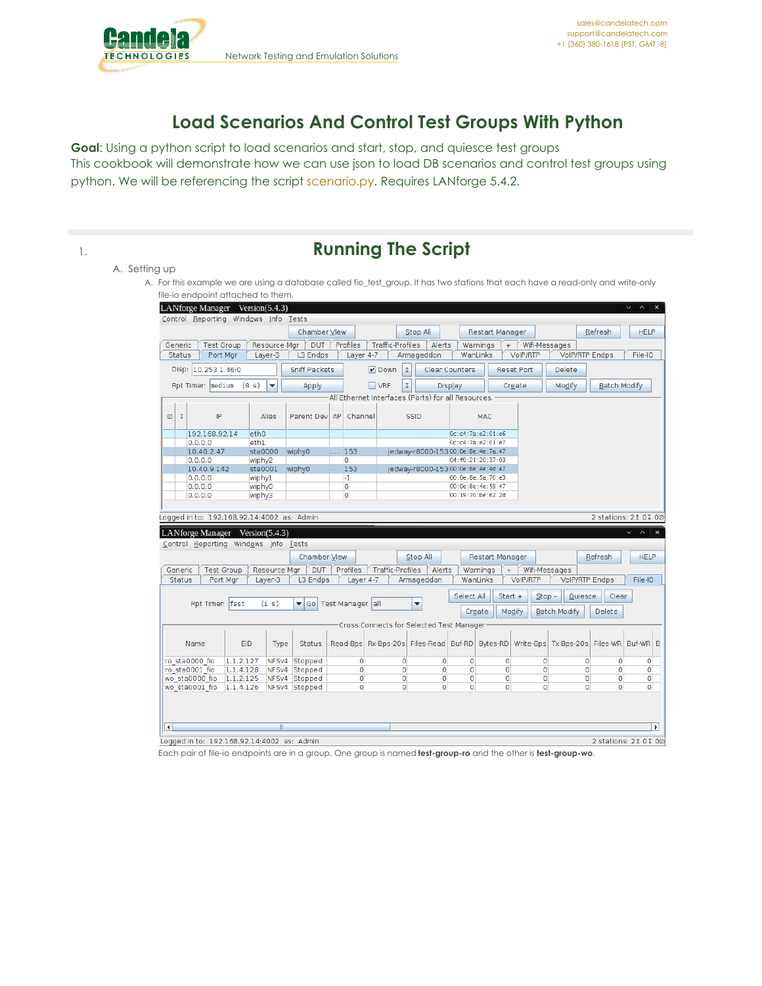

## **Load Scenarios And Control Test Groups With Python**

**Goal**: Using a python script to load scenarios and start, stop, and quiesce test groups This cookbook will demonstrate how we can use json to load DB scenarios and control test groups using python. We will be referencing the script [scenario.py](https://github.com/greearb/lanforge-scripts/blob/master/py-scripts/scenario.py%20target=). Requires LANforge 5.4.2.

| <b>Running The Script</b>                                                                                                        |
|----------------------------------------------------------------------------------------------------------------------------------|
| A. Setting up                                                                                                                    |
| A. For this example we are using a database called fio_test_group. It has two stations that each have a read-only and write-only |
| file-io endpoint attached to them.                                                                                               |
| $I$ AMfordo Manador Marcian( $I$ 4.3)                                                                                            |

|                      | LANforge Manager Version(5.4.3)             |                                   |                         |                |                  |                         |                                                      |                |                       |                        |                       |                     |                                                                     | ✓<br>$\wedge$   $\times$ |
|----------------------|---------------------------------------------|-----------------------------------|-------------------------|----------------|------------------|-------------------------|------------------------------------------------------|----------------|-----------------------|------------------------|-----------------------|---------------------|---------------------------------------------------------------------|--------------------------|
|                      | Control Reporting Windows Info Tests        |                                   |                         |                |                  |                         |                                                      |                |                       |                        |                       |                     |                                                                     |                          |
|                      |                                             |                                   | <b>Chamber View</b>     |                |                  |                         | Stop All                                             |                |                       | <b>Restart Manager</b> |                       |                     | Refresh                                                             | <b>HELP</b>              |
| Generic              | <b>Test Group</b>                           | Resource Mgr                      | <b>DUT</b>              | Profiles       |                  | <b>Traffic-Profiles</b> |                                                      | Alerts         | Warnings              | $+$                    | Wifi-Messages         |                     |                                                                     |                          |
| <b>Status</b>        | Port Mgr                                    | Layer-3                           | L3 Endps                |                | Layer 4-7        |                         | Armageddon                                           |                | WanLinks              |                        | <b>VoIP/RTP</b>       |                     | <b>VolP/RTP Endps</b>                                               | File-IO                  |
|                      | Disp: 10.253.1.46:0                         |                                   | <b>Sniff Packets</b>    |                |                  | $V$ Down                | 1                                                    |                | <b>Clear Counters</b> |                        | <b>Reset Port</b>     | Delete              |                                                                     |                          |
|                      | Rpt Timer: medium                           | (8 s)<br>$\overline{\phantom{a}}$ | Apply                   |                |                  | $\Box$ VRF              | I                                                    | Display        |                       |                        | Create                | Modify              | <b>Batch Modify</b>                                                 |                          |
|                      |                                             |                                   |                         |                |                  |                         | All Ethernet Interfaces (Ports) for all Resources. . |                |                       |                        |                       |                     |                                                                     |                          |
|                      |                                             |                                   |                         |                |                  |                         |                                                      |                |                       |                        |                       |                     |                                                                     |                          |
| $\mathfrak{r}$<br>Ø  | IP                                          | Alias                             | Parent Dev              | AP             | Channel          |                         | <b>SSID</b>                                          |                | MAC                   |                        |                       |                     |                                                                     |                          |
|                      | 192.168.92.14                               | eth <sub>0</sub>                  |                         |                |                  |                         |                                                      |                | 0c:c4:7a:e2:01:e6     |                        |                       |                     |                                                                     |                          |
|                      | 0.0.0.0                                     | eth1                              |                         |                |                  |                         |                                                      |                | 0c: c4:7a: e2:01:e7   |                        |                       |                     |                                                                     |                          |
|                      | 10.40.2.47                                  | sta0000                           | wiphy0                  | <b>COL</b>     | 153              |                         | jedway-r8000-15300:0e:8e:4e:7a:47                    |                |                       |                        |                       |                     |                                                                     |                          |
| 0.0.0.0              |                                             | wiphy2                            |                         | $\overline{0}$ |                  |                         |                                                      |                | 04: f0:21:20:37:03    |                        |                       |                     |                                                                     |                          |
|                      | 10.40.9.142                                 | sta0001                           | wiphy0                  | in a           | 153              |                         | jedway-r8000-15300:0e:8e:4e:4d:47                    |                |                       |                        |                       |                     |                                                                     |                          |
|                      | 0.0.0.0                                     | wiphyl                            |                         | -1             |                  |                         |                                                      |                | 00:0e:8e:5a:70:e3     |                        |                       |                     |                                                                     |                          |
|                      | 0.0.0.0                                     | wiphy0                            |                         | O              |                  |                         |                                                      |                | 00:0e:8e:4e:59:47     |                        |                       |                     |                                                                     |                          |
|                      | 0.0.0.0                                     | wiphy3                            |                         | O              |                  |                         |                                                      |                | 00:19:70:be:62:2d     |                        |                       |                     |                                                                     |                          |
|                      |                                             |                                   |                         |                |                  |                         |                                                      |                |                       |                        |                       |                     |                                                                     |                          |
|                      | Logged in to: 192.168.92.14:4002 as: Admin  |                                   |                         |                |                  |                         |                                                      |                |                       |                        |                       |                     |                                                                     | 2 stations: 21 0 J 0 Ø   |
|                      |                                             |                                   |                         |                |                  |                         |                                                      |                |                       |                        |                       |                     |                                                                     |                          |
|                      | LANforge Manager Version(5.4.3)             |                                   |                         |                |                  |                         |                                                      |                |                       |                        |                       |                     |                                                                     | $v \wedge x$             |
|                      | Control Reporting Windows Info Tests        |                                   |                         |                |                  |                         |                                                      |                |                       |                        |                       |                     |                                                                     |                          |
|                      |                                             |                                   | <b>Chamber View</b>     |                |                  |                         | Stop All                                             |                |                       | <b>Restart Manager</b> |                       |                     | Refresh                                                             | <b>HELP</b>              |
| Generic              | <b>Test Group</b>                           | Resource Mgr                      | <b>DUT</b>              | Profiles       |                  | <b>Traffic-Profiles</b> |                                                      | Alerts         | Warnings              | $+$                    | Wifi-Messages         |                     |                                                                     |                          |
| <b>Status</b>        | Port Mar                                    | Layer-3                           | L3 Endps                |                | Layer 4-7        |                         | Armageddon                                           |                | WanLinks              |                        | VoIP/RTP              |                     | VolP/RTP Endps                                                      | File-IO                  |
|                      |                                             |                                   |                         |                |                  |                         |                                                      |                |                       |                        |                       |                     |                                                                     |                          |
|                      |                                             |                                   |                         |                |                  |                         |                                                      |                | Select All            |                        | Start $+$<br>$Stop -$ | Quiesce             | Clear                                                               |                          |
|                      | Rpt Timer: fast                             | (1 s)                             | $\blacktriangledown$ Go |                | Test Manager all |                         | $\blacktriangledown$                                 |                | Create                |                        | Modify                | <b>Batch Modify</b> | <b>Delete</b>                                                       |                          |
|                      |                                             |                                   |                         |                |                  |                         | Cross Connects for Selected Test Manager             |                |                       |                        |                       |                     |                                                                     |                          |
|                      |                                             |                                   |                         |                |                  |                         |                                                      |                |                       |                        |                       |                     |                                                                     |                          |
| Name                 |                                             | EID<br>Type                       | <b>Status</b>           | Read-Bps       |                  |                         |                                                      |                |                       |                        |                       |                     | Rx-Bps-20s Files-Read Buf-RD Bytes-RD Write-Bps Tx-Bps-20s Files-WR | Buf-WR B                 |
| ro sta0000 fio       | 1.1.2.127                                   |                                   | NFSv4 Stopped           |                | $\mathbf{0}$     | $\mathbf{O}$            |                                                      | $\overline{0}$ | $\mathbf{O}$          | $\overline{0}$         | $\mathbf{0}$          |                     | $\mathbf{O}$<br>$\Omega$                                            | $\circ$                  |
| ro sta0001 fio       | 1.1.4.128                                   |                                   | NFSv4 Stopped           |                | 0                | 0                       |                                                      | $\overline{0}$ | 0                     | $\mathbf 0$            | 0                     |                     | 0<br>$\mathbf 0$                                                    | 0                        |
| wo sta0000 fio       | 1.1.2.125                                   |                                   | NFSv4 Stopped           |                | 0                | $\circ$                 |                                                      | 0              | $\overline{0}$        | $\overline{0}$         | o                     |                     | 0<br>$\circ$                                                        | $\circ$                  |
| wo sta0001 fio       | 1.1.4.126                                   |                                   | NFSv4 Stopped           |                | $\mathbf{0}$     | $\Omega$                |                                                      | 0              | $\Omega$              | $\overline{0}$         | $\mathbf{0}$          |                     | 0<br>$\Omega$                                                       | $\Omega$                 |
|                      |                                             |                                   |                         |                |                  |                         |                                                      |                |                       |                        |                       |                     |                                                                     |                          |
|                      |                                             |                                   |                         |                |                  |                         |                                                      |                |                       |                        |                       |                     |                                                                     |                          |
|                      |                                             |                                   |                         |                |                  |                         |                                                      |                |                       |                        |                       |                     |                                                                     |                          |
| $\blacktriangleleft$ |                                             | m                                 |                         |                |                  |                         |                                                      |                |                       |                        |                       |                     |                                                                     | $\blacktriangleright$    |
|                      |                                             |                                   |                         |                |                  |                         |                                                      |                |                       |                        |                       |                     |                                                                     |                          |
|                      | Logged in to: 192.168.92.14:4002 as: Admin. |                                   |                         |                |                  |                         |                                                      |                |                       |                        |                       |                     |                                                                     | 2 stations: 21 01 00     |

Each pair of file-io endpoints are in a group. One group is named **test-group-ro** and the other is **test-group-wo**.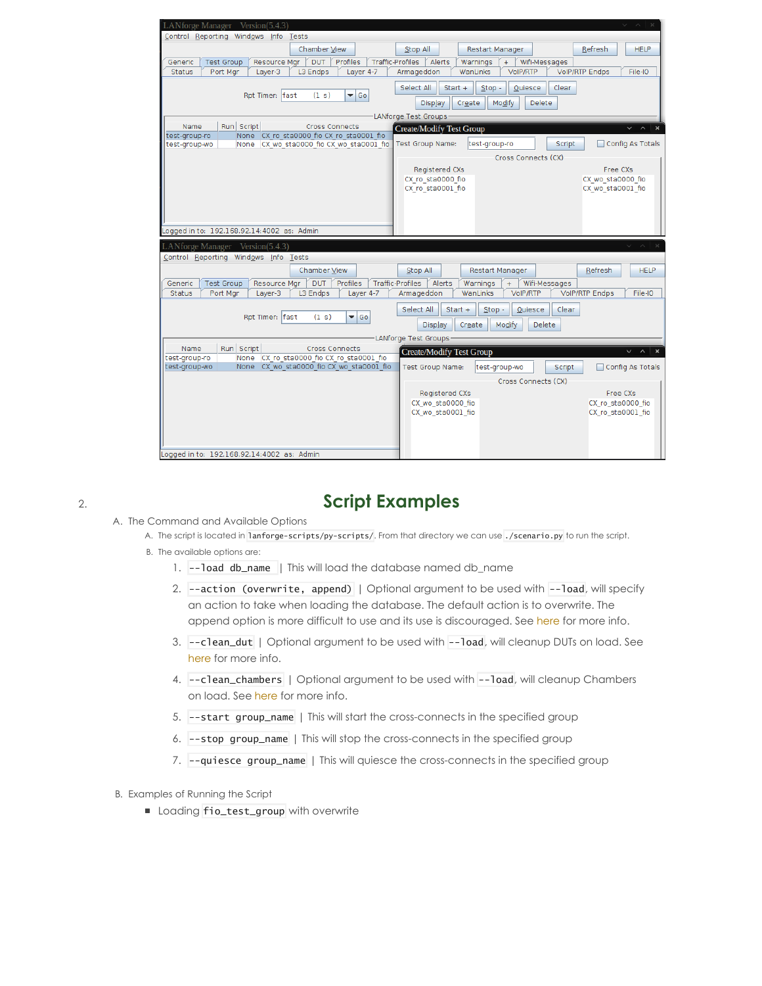| LANforge Manager Version(5.4.3)                                                                                              | $\vee$ $\wedge$<br>$\times$                                                                                          |  |  |  |  |  |  |  |
|------------------------------------------------------------------------------------------------------------------------------|----------------------------------------------------------------------------------------------------------------------|--|--|--|--|--|--|--|
| Control Reporting Windows Info Tests                                                                                         |                                                                                                                      |  |  |  |  |  |  |  |
| Chamber View                                                                                                                 | Stop All<br>Refresh<br><b>HELP</b><br>Restart Manager                                                                |  |  |  |  |  |  |  |
| Profiles<br><b>Traffic-Profiles</b><br><b>DUT</b><br><b>Test Group</b><br>Resource Mgr<br>Generic                            | Alerts<br>Wifi-Messages<br>Warnings<br>$+$                                                                           |  |  |  |  |  |  |  |
| L3 Endps<br>Layer 4-7<br><b>Status</b><br>Port Mar<br>Layer-3                                                                | VoIP/RTP<br><b>VolP/RTP Endps</b><br>Armageddon<br>WanLinks<br>File-IO                                               |  |  |  |  |  |  |  |
|                                                                                                                              | Select All<br>Start $+$<br>$Stop -$<br>Clear<br>Quiesce                                                              |  |  |  |  |  |  |  |
| (1 s)<br>$\blacktriangledown$ Go<br>Rpt Timer: fast                                                                          |                                                                                                                      |  |  |  |  |  |  |  |
|                                                                                                                              | Modify<br>Display<br>Create<br><b>Delete</b>                                                                         |  |  |  |  |  |  |  |
|                                                                                                                              | LANforge Test Groups                                                                                                 |  |  |  |  |  |  |  |
| Run Script<br>Name<br><b>Cross Connects</b>                                                                                  | <b>Create/Modify Test Group</b><br>$\sim$<br>$\boldsymbol{\times}$<br>$\checkmark$                                   |  |  |  |  |  |  |  |
| CX ro sta0000 fio CX ro sta0001 fio<br>test-group-ro<br>None<br>CX wo sta0000 fio CX wo sta0001 fio<br>test-group-wo<br>None | Test Group Name:<br>Script<br>Config As Totals<br>test-group-ro                                                      |  |  |  |  |  |  |  |
|                                                                                                                              | Cross Connects (CX)                                                                                                  |  |  |  |  |  |  |  |
|                                                                                                                              |                                                                                                                      |  |  |  |  |  |  |  |
|                                                                                                                              | <b>Registered CXs</b><br>Free CXs<br>CX ro sta0000 fio<br>CX wo sta0000 fio                                          |  |  |  |  |  |  |  |
|                                                                                                                              | CX ro sta0001 fio<br>CX wo sta0001 fio                                                                               |  |  |  |  |  |  |  |
|                                                                                                                              |                                                                                                                      |  |  |  |  |  |  |  |
|                                                                                                                              |                                                                                                                      |  |  |  |  |  |  |  |
|                                                                                                                              |                                                                                                                      |  |  |  |  |  |  |  |
| Logged in to: 192.168.92.14:4002 as: Admin                                                                                   |                                                                                                                      |  |  |  |  |  |  |  |
| LANforge Manager Version(5.4.3)                                                                                              | $\times$<br>$\vee$ $\wedge$                                                                                          |  |  |  |  |  |  |  |
| Control Reporting Windows Info Tests                                                                                         |                                                                                                                      |  |  |  |  |  |  |  |
| Chamber View                                                                                                                 | Stop All<br><b>HELP</b><br><b>Restart Manager</b><br>Refresh                                                         |  |  |  |  |  |  |  |
| Profiles<br><b>Traffic-Profiles</b>                                                                                          |                                                                                                                      |  |  |  |  |  |  |  |
| <b>Test Group</b><br>Resource Mgr<br><b>DUT</b><br>Generic<br>L3 Endps<br><b>Status</b><br>Port Mgr<br>Layer-3<br>Layer 4-7  | Alerts<br>Warnings<br>Wifi-Messages<br>$+$<br><b>VoIP/RTP</b><br>VolP/RTP Endps<br>File-IO<br>Armageddon<br>WanLinks |  |  |  |  |  |  |  |
|                                                                                                                              |                                                                                                                      |  |  |  |  |  |  |  |
| Rpt Timer: fast<br>(1 s)<br>l Go<br>$\overline{\phantom{a}}$                                                                 | Select All<br>$Start +$<br>$Stop -$<br>Quiesce<br>Clear                                                              |  |  |  |  |  |  |  |
|                                                                                                                              |                                                                                                                      |  |  |  |  |  |  |  |
|                                                                                                                              | Display<br>Create<br>Modify<br><b>Delete</b>                                                                         |  |  |  |  |  |  |  |
|                                                                                                                              |                                                                                                                      |  |  |  |  |  |  |  |
| Run Script<br>Name<br><b>Cross Connects</b>                                                                                  | LANforge Test Groups                                                                                                 |  |  |  |  |  |  |  |
| CX ro sta0000 fio CX ro sta0001 fio<br>test-group-ro<br>None                                                                 | <b>Create/Modify Test Group</b><br>$\boldsymbol{\times}$<br>V<br>$\sim$                                              |  |  |  |  |  |  |  |
| CX wo sta0000 fio CX wo sta0001 fio<br>test-group-wo<br>None                                                                 | <b>Test Group Name:</b><br>Config As Totals<br>test-group-wo<br><b>Script</b>                                        |  |  |  |  |  |  |  |
|                                                                                                                              | Cross Connects (CX)                                                                                                  |  |  |  |  |  |  |  |
|                                                                                                                              | Registered CXs<br>Free CXs                                                                                           |  |  |  |  |  |  |  |
|                                                                                                                              | CX wo sta0000 fio<br>CX ro sta0000 fio                                                                               |  |  |  |  |  |  |  |
|                                                                                                                              | CX wo sta0001 fio<br>CX ro sta0001 fio                                                                               |  |  |  |  |  |  |  |
|                                                                                                                              |                                                                                                                      |  |  |  |  |  |  |  |
|                                                                                                                              |                                                                                                                      |  |  |  |  |  |  |  |
| Logged in to: 192.168.92.14:4002 as: Admin                                                                                   |                                                                                                                      |  |  |  |  |  |  |  |

## 2. **Script Examples**

- A. The Command and Available Options
	- A. The script is located in lanforge-scripts/py-scripts/. From that directory we can use ./scenario.py to run the script.
	- B. The available options are:
		- 1. --load db\_name | This will load the database named db\_name
		- 2. --action (overwrite, append) | Optional argument to be used with --load, will specify an action to take when loading the database. The default action is to overwrite. The append option is more difficult to use and its use is discouraged. See [here](https://www.candelatech.com/lfcli_ug.php#load) for more info.
		- 3. --clean\_dut | Optional argument to be used with --load, will cleanup DUTs on load. See [here](https://www.candelatech.com/lfcli_ug.php#load) for more info.
		- 4. --clean\_chambers | Optional argument to be used with --load, will cleanup Chambers on load. See [here](https://www.candelatech.com/lfcli_ug.php#load) for more info.
		- 5. --start group\_name | This will start the cross-connects in the specified group
		- 6. --stop group\_name | This will stop the cross-connects in the specified group
		- 7. --quiesce group\_name | This will quiesce the cross-connects in the specified group
- B. Examples of Running the Script
	- Loading fio\_test\_group with overwrite